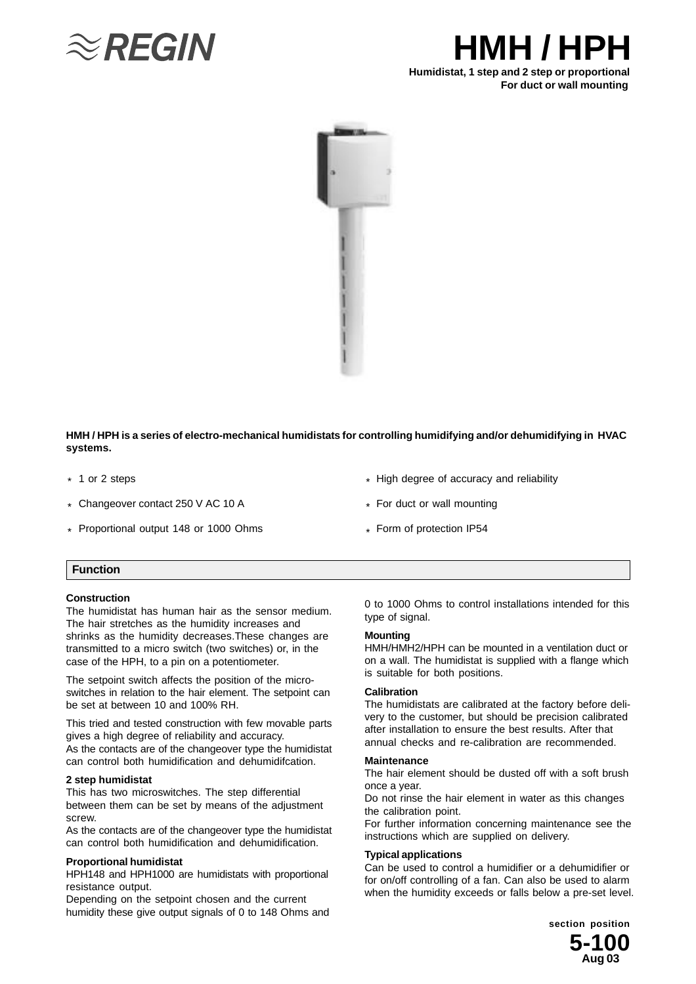

# **HMH / HPH Humidistat, 1 step and 2 step or proportional**

# **For duct or wall mounting**



**HMH / HPH is a series of electro-mechanical humidistats for controlling humidifying and/or dehumidifying in HVAC systems.**

- \* 1 or 2 steps
- Changeover contact 250 V AC 10 A \*
- Proportional output 148 or 1000 Ohms \*
- \* High degree of accuracy and reliability
- \* For duct or wall mounting
- \* Form of protection IP54

#### **Function**

#### **Construction**

The humidistat has human hair as the sensor medium. The hair stretches as the humidity increases and shrinks as the humidity decreases.These changes are transmitted to a micro switch (two switches) or, in the case of the HPH, to a pin on a potentiometer.

The setpoint switch affects the position of the microswitches in relation to the hair element. The setpoint can be set at between 10 and 100% RH.

This tried and tested construction with few movable parts gives a high degree of reliability and accuracy. As the contacts are of the changeover type the humidistat can control both humidification and dehumidifcation.

#### **2 step humidistat**

This has two microswitches. The step differential between them can be set by means of the adjustment screw.

As the contacts are of the changeover type the humidistat can control both humidification and dehumidification.

#### **Proportional humidistat**

HPH148 and HPH1000 are humidistats with proportional resistance output.

Depending on the setpoint chosen and the current humidity these give output signals of 0 to 148 Ohms and 0 to 1000 Ohms to control installations intended for this type of signal.

#### **Mounting**

HMH/HMH2/HPH can be mounted in a ventilation duct or on a wall. The humidistat is supplied with a flange which is suitable for both positions.

#### **Calibration**

The humidistats are calibrated at the factory before delivery to the customer, but should be precision calibrated after installation to ensure the best results. After that annual checks and re-calibration are recommended.

#### **Maintenance**

The hair element should be dusted off with a soft brush once a year.

Do not rinse the hair element in water as this changes the calibration point.

For further information concerning maintenance see the instructions which are supplied on delivery.

#### **Typical applications**

Can be used to control a humidifier or a dehumidifier or for on/off controlling of a fan. Can also be used to alarm when the humidity exceeds or falls below a pre-set level.

> **5-100 section position Aug 03**